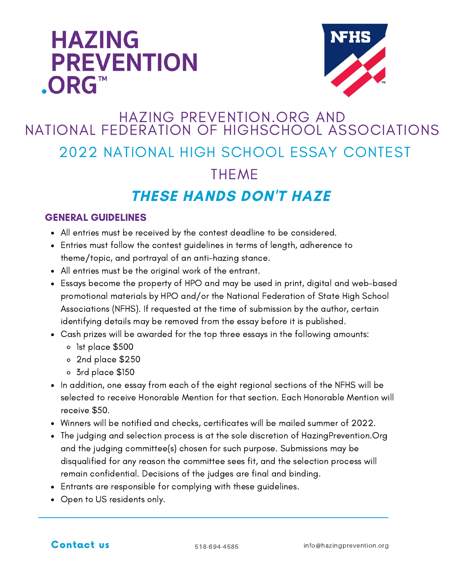## **HAZING PREVENTION** .ORG™



## HAZING PREVENTION.ORG AND NATIONAL FEDERATION OF HIGHSCHOOL ASSOCIATIONS 2022 NATIONAL HIGH SCHOOL ESSAY CONTEST **THEME THESE HANDS DON'T HAZE**

## GENERAL GUIDELINES

- All entries must be received by the contest deadline to be considered.
- Entries must follow the contest guidelines in terms of length, adherence to theme/topic, and portrayal of an anti-hazing stance.
- All entries must be the original work of the entrant.
- Essays become the property of HPO and may be used in print, digital and web-based promotional materials by HPO and/or the National Federation of State High School Associations (NFHS). If requested at the time of submission by the author, certain identifying details may be removed from the essay before it is published.
- Cash prizes will be awarded for the top three essays in the following amounts:
	- 1st place \$500
	- 2nd place \$250
	- 3rd place \$150
- In addition, one essay from each of the eight regional sections of the NFHS will be selected to receive Honorable Mention for that section. Each Honorable Mention will receive \$50.
- Winners will be notified and checks, certificates will be mailed summer of 2022.
- The judging and selection process is at the sole discretion of HazingPrevention.Org and the judging committee(s) chosen for such purpose. Submissions may be disqualified for any reason the committee sees fit, and the selection process will remain confidential. Decisions of the judges are final and binding.
- Entrants are responsible for complying with these guidelines.
- Open to US residents only.